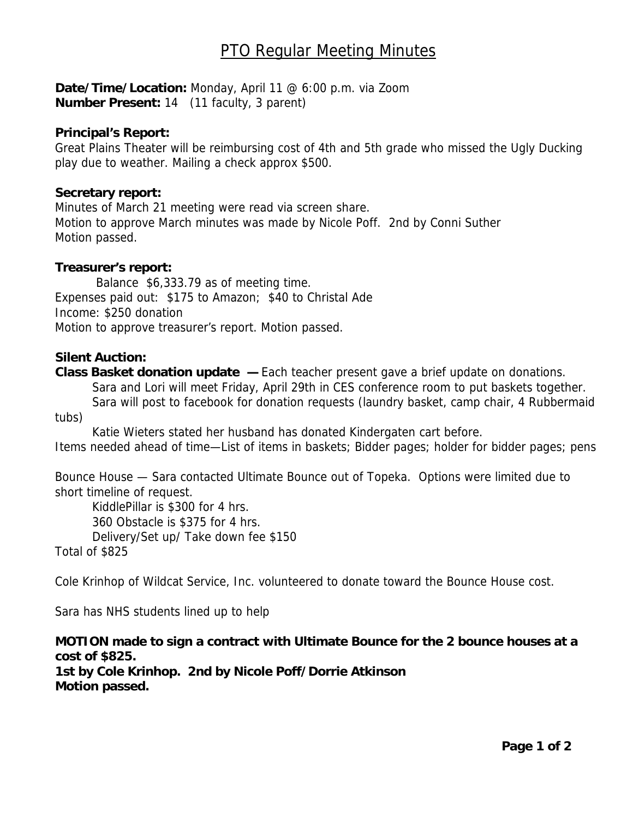# PTO Regular Meeting Minutes

**Date/Time/Location:** Monday, April 11 @ 6:00 p.m. via Zoom **Number Present:** 14 (11 faculty, 3 parent)

#### **Principal's Report:**

Great Plains Theater will be reimbursing cost of 4th and 5th grade who missed the Ugly Ducking play due to weather. Mailing a check approx \$500.

#### **Secretary report:**

Minutes of March 21 meeting were read via screen share. Motion to approve March minutes was made by Nicole Poff. 2nd by Conni Suther Motion passed.

#### **Treasurer's report:**

 Balance \$6,333.79 as of meeting time. Expenses paid out: \$175 to Amazon; \$40 to Christal Ade Income: \$250 donation Motion to approve treasurer's report. Motion passed.

#### **Silent Auction:**

**Class Basket donation update —** Each teacher present gave a brief update on donations. Sara and Lori will meet Friday, April 29th in CES conference room to put baskets together. Sara will post to facebook for donation requests (laundry basket, camp chair, 4 Rubbermaid tubs)

 Katie Wieters stated her husband has donated Kindergaten cart before. Items needed ahead of time—List of items in baskets; Bidder pages; holder for bidder pages; pens

Bounce House — Sara contacted Ultimate Bounce out of Topeka. Options were limited due to short timeline of request.

 KiddlePillar is \$300 for 4 hrs. 360 Obstacle is \$375 for 4 hrs. Delivery/Set up/ Take down fee \$150

Total of \$825

Cole Krinhop of Wildcat Service, Inc. volunteered to donate toward the Bounce House cost.

Sara has NHS students lined up to help

## **MOTION made to sign a contract with Ultimate Bounce for the 2 bounce houses at a cost of \$825.**

**1st by Cole Krinhop. 2nd by Nicole Poff/Dorrie Atkinson Motion passed.**